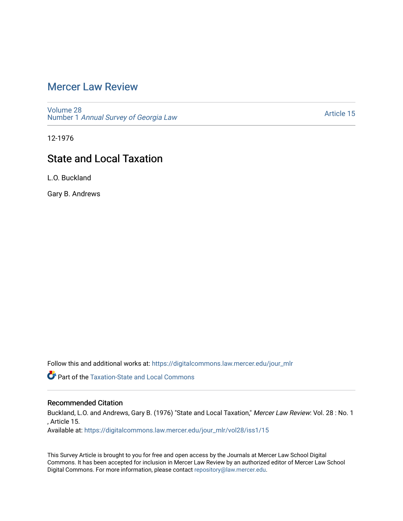### [Mercer Law Review](https://digitalcommons.law.mercer.edu/jour_mlr)

[Volume 28](https://digitalcommons.law.mercer.edu/jour_mlr/vol28) Number 1 [Annual Survey of Georgia Law](https://digitalcommons.law.mercer.edu/jour_mlr/vol28/iss1) 

[Article 15](https://digitalcommons.law.mercer.edu/jour_mlr/vol28/iss1/15) 

12-1976

# State and Local Taxation

L.O. Buckland

Gary B. Andrews

Follow this and additional works at: [https://digitalcommons.law.mercer.edu/jour\\_mlr](https://digitalcommons.law.mercer.edu/jour_mlr?utm_source=digitalcommons.law.mercer.edu%2Fjour_mlr%2Fvol28%2Fiss1%2F15&utm_medium=PDF&utm_campaign=PDFCoverPages)

**Part of the Taxation-State and Local Commons** 

### Recommended Citation

Buckland, L.O. and Andrews, Gary B. (1976) "State and Local Taxation," Mercer Law Review: Vol. 28 : No. 1 , Article 15.

Available at: [https://digitalcommons.law.mercer.edu/jour\\_mlr/vol28/iss1/15](https://digitalcommons.law.mercer.edu/jour_mlr/vol28/iss1/15?utm_source=digitalcommons.law.mercer.edu%2Fjour_mlr%2Fvol28%2Fiss1%2F15&utm_medium=PDF&utm_campaign=PDFCoverPages) 

This Survey Article is brought to you for free and open access by the Journals at Mercer Law School Digital Commons. It has been accepted for inclusion in Mercer Law Review by an authorized editor of Mercer Law School Digital Commons. For more information, please contact [repository@law.mercer.edu](mailto:repository@law.mercer.edu).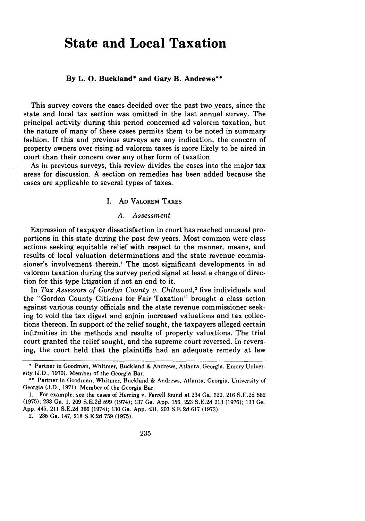## **State and Local Taxation**

#### **By L. 0. Buckland\* and Gary B. Andrews\*\***

This survey covers the cases decided over the past two years, since the state and local tax section was omitted in the last annual survey. The principal activity during this period concerned ad valorem taxation, but the nature of many of these cases permits them to be noted in summary fashion. **If** this and previous surveys are any indication, the concern of property owners over rising ad valorem taxes is more likely to be aired in court than their concern over any other form of taxation.

As in previous surveys, this review divides the cases into the major tax areas for discussion. **A** section on remedies has been added because the cases are applicable to several types of taxes.

### **I. AD VALOREM TAXES**

#### *A. Assessment*

Expression of taxpayer dissatisfaction in court has reached unusual proportions in this state during the past few years. Most common were class actions seeking equitable relief with respect to the manner, means, and results of local valuation determinations and the state revenue commissioner's involvement therein.' The most significant developments in ad valorem taxation during the survey period signal at least a change of direction for this type litigation if not an end to it.

In *Tax Assessors of Gordon County v. Chitwood,2* five individuals and the "Gordon County Citizens for Fair Taxation" brought a class action against various county officials and the state revenue commissioner seeking to void the tax digest and enjoin increased valuations and tax collections thereon. In support of the relief sought, the taxpayers alleged certain infirmities in the methods and results of property valuations. The trial court granted the relief sought, and the supreme court reversed. In reversing, the court held that the plaintiffs had an adequate remedy at law

2. **235** Ga. 147, **218 S.E.2d 759 (1975).**

**<sup>\*</sup>** Partner in Goodman, Whitmer, Buckland & Andrews, Atlanta, Georgia. Emory University (J.D., 1970). Member of the Georgia Bar.

**<sup>\*\*</sup>** Partner in Goodman, Whitmer, Buckland **&** Andrews, Atlanta, Georgia. University of Georgia **(J.D., 1971).** Member of the Georgia Bar.

**<sup>1.</sup>** For example, see the cases of Herring v. Ferrell found at 234 Ga. **620, 216 S.E.2d 862 (1975); 233** Ga. **1, 209 S.E.2d 599** (1974); **137** Ga. **App. 156,** 223 **S.E.2d 213 (1976); 133** Ga. **App.** 445, 211 **S.E.2d 366** (1974); **130** Ga. **App.** 431, **203 S.E.2d 617 (1973).**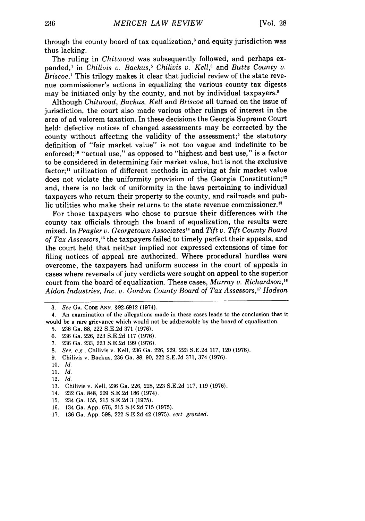through the county board of tax equalization,3 and equity jurisdiction was thus lacking.

The ruling in *Chitwood* was subsequently followed, and perhaps expanded,' in *Chilivis v. Backus,5 Chilivis v. Kell,'* and *Butts County v. Briscoe.7* This trilogy makes it clear that judicial review of the state revenue commissioner's actions in equalizing the various county tax digests may be initiated only by the county, and not by individual taxpayers.<sup>8</sup>

Although *Chitwood, Backus, Kell* and *Briscoe* all turned on the issue of jurisdiction, the court also made various other rulings of interest in the area of ad valorem taxation. In these decisions the Georgia Supreme Court held: defective notices of changed assessments may be corrected by the county without affecting the validity of the assessment;<sup>9</sup> the statutory definition of "fair market value" is not too vague and indefinite to be enforced;<sup>10</sup> "actual use," as opposed to "highest and best use," is a factor to be considered in determining fair market value, but is not the exclusive factor;" utilization of different methods in arriving at fair market value does not violate the uniformity provision of the Georgia Constitution;<sup>12</sup> and, there is no lack of uniformity in the laws pertaining to individual taxpayers who return their property to the county, and railroads and public utilities who make their returns to the state revenue commissioner.'3

For those taxpayers who chose to pursue their differences with the county tax officials through the board of equalization, the results were mixed. In *Peagler v. Georgetown Associates"* and *Tift v. Tift County Board of Tax Assessors,"* the taxpayers failed to timely perfect their appeals, and the court held that neither implied nor expressed extensions of time for filing notices of appeal are authorized. Where procedural hurdles were overcome, the taxpayers had uniform success in the court of appeals in cases where reversals of jury verdicts were sought on appeal to the superior court from the board of equalization. These cases, *Murray v. Richardson," Aldon Industries, Inc. v. Gordon County Board of Tax Assessors,'7 Hodson*

- **9.** Chilivis v. Backus, 236 Ga. 88, 90, 222 S.E.2d 371, 374 (1976).
- 10. *Id.*
- ii. *Id.*
- 12. *Id.*

- 14. 232 Ga. 848, 209 S.E.2d 186 (1974).
- 15. 234 Ga. 155, 215 S.E.2d 3 (1975).
- 16. 134 Ga. App. 676, 215 S.E.2d 715 (1975).
- 17. 136 Ga. App. 598, 222 S.E.2d 42 (1975), *cert. granted.*

*<sup>3.</sup> See* **GA. CODE ANN.** §92-6912 (1974).

<sup>4.</sup> An examination of the allegations made in these cases leads to the conclusion that it would be a rare grievance which would not be addressable by the board of equalization.

<sup>5. 236</sup> Ga. 88, 222 S.E.2d 371 (1976).

<sup>6. 236</sup> Ga. 226, 223 S.E.2d 117 (1976).

<sup>7. 236</sup> Ga. 233, 223 S.E.2d 199 (1976).

<sup>8.</sup> *See, e.g.,* Chilivis v. Kell, 236 Ga. 226, 229, 223 S.E.2d 117, 120 (1976).

<sup>13.</sup> Chilivis v. Kell, 236 Ga. 226, 228, 223 S.E.2d 117, 119 (1976).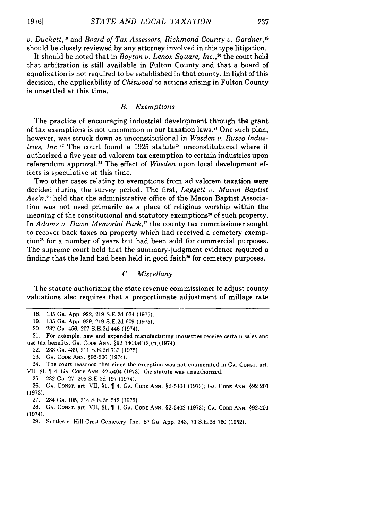*v. Duckett*,<sup>18</sup> and *Board of Tax Assessors, Richmond County v. Gardner*,<sup>19</sup> should be closely reviewed by any attorney involved in this type litigation.

It should be noted that in *Boyton v. Lenox Square, Inc.,20* the court held that arbitration is still available in Fulton County and that a board of equalization is not required to be established in that county. In light of this decision, the applicability of *Chitwood* to actions arising in Fulton County is unsettled at this time.

#### *B. Exemptions*

The practice of encouraging industrial development through the grant of tax exemptions is not uncommon in our taxation laws.<sup>21</sup> One such plan, however, was struck down as unconstitutional in *Wasden v. Rusco Industries, Inc.*<sup>22</sup> The court found a 1925 statute<sup>23</sup> unconstitutional where it authorized a five year ad valorem tax exemption to certain industries upon referendum approval." The effect of *Wasden* upon local development efforts is speculative at this time.

Two other cases relating to exemptions from ad valorem taxation were decided during the survey period. The first, *Leggett v. Macon Baptist Ass'n,25* held that the administrative office of the Macon Baptist Association was not used primarily as a place of religious worship within the meaning of the constitutional and statutory exemptions"6 of such property. In *Adams v. Dawn Memorial Park,"* the county tax commissioner sought to recover back taxes on property which had received a cemetery exemption<sup>28</sup> for a number of years but had been sold for commercial purposes. The supreme court held that the summary-judgment evidence required a finding that the land had been held in good faith<sup>29</sup> for cemetery purposes.

### *C. Miscellany*

The statute authorizing the state revenue commissioner to adjust county valuations also requires that a proportionate adjustment of millage rate

22. 233 Ga. 439, 211 S.E.2d 733 (1975).

25. 232 Ga. 27, 205 S.E.2d 197 (1974).

27. 234 Ga. 105, 214 S.E.2d 542 (1975).

28. **GA. CONST.** art. VII, §1, 4, **GA. CODE ANN.** §2-5403 (1973); **GA.** CODE ANN. §92-201 (1974).

**19761**

<sup>18. 135</sup> Ga. App. 922, 219 S.E.2d 634 (1975).

<sup>19. 135</sup> Ga. App. 939, 219 S.E.2d 609 (1975).

<sup>20. 232</sup> Ga. 456, 207 S.E.2d 446 (1974).

<sup>21.</sup> For example, new and expanded manufacturing industries receive certain sales and use tax benefits. GA. **CODE ANN.** §92-3403aC(2)(n)(1974).

<sup>23.</sup> **GA. CODE ANN.** §92-206 (1974).

<sup>24.</sup> The court reasoned that since the exception was not enumerated in **GA.** CONST. art. VII, §1, 4, **GA. CODE** ANN. §2-5404 (1973), the statute was unauthorized.

<sup>26.</sup> **GA. CONST.** art. VII, §1, 4, **GA. CODE ANN.** §2-5404 (1973); **GA.** CODE **ANN.** §92-201 (1973).

<sup>29.</sup> Suttles v. Hill Crest Cemetery, Inc., 87 Ga. App. 343, 73 S.E.2d 760 (1952).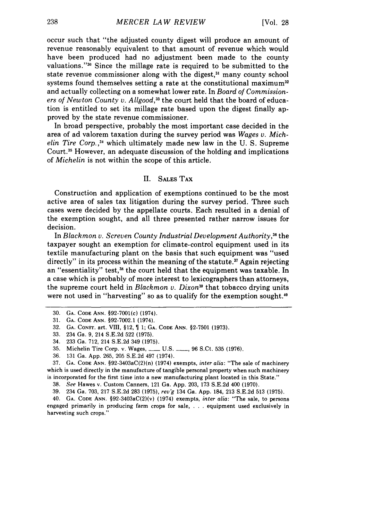occur such that "the adjusted county digest will produce an amount of revenue reasonably equivalent to that amount of revenue which would have been produced had no adjustment been made to the county valuations."<sup>30</sup> Since the millage rate is required to be submitted to the state revenue commissioner along with the digest,<sup>31</sup> many county school systems found themselves setting a rate at the constitutional maximum<sup>32</sup> and actually collecting on a somewhat lower rate. In *Board of Commission*ers of Newton County v. Allgood,<sup>33</sup> the court held that the board of education is entitled to set its millage rate based upon the digest finally approved by the state revenue commissioner.

In broad perspective, probably the most important case decided in the area of ad valorem taxation during the survey period was *Wages v. Mich*elin *Tire Corp.,"* which ultimately made new law in the U. S. Supreme Court. 35 However, an adequate discussion of the holding and implications of *Michelin* is not within the scope of this article.

#### II. SALES **TAX**

Construction and application of exemptions continued to be the most active area of sales tax litigation during the survey period. Three such cases were decided by the appellate courts. Each resulted in a denial of the exemption sought, and all three presented rather narrow issues for decision.

In *Blackmon v. Screven County Industrial Development Authority,36* the taxpayer sought an exemption for climate-control equipment used in its textile manufacturing plant on the basis that such equipment was "used directly" in its process within the meaning of the statute.<sup>37</sup> Again rejecting an "essentiality" test,<sup>38</sup> the court held that the equipment was taxable. In a case which is probably of more interest to lexicographers than attorneys, the supreme court held in *Blackmon v. Dixon"* that tobacco drying units were not used in "harvesting" so as to qualify for the exemption sought. $\omega$ 

37. **GA.** CODE ANN. §92-3403aC(2)(n) (1974) exempts, *inter alia:* "The sale of machinery which is used directly in the manufacture of tangible personal property when such machinery is incorporated for the first time into a new manufacturing plant located in this State."

38. *See* Hawes v. Custom Canners, 121 Ga. App. 203, 173 S.E.2d 400 (1970).

39. 234 Ga. 703, 217 S.E.2d 283 (1975), rev'g 134 Ga. App. 184, 213 S.E.2d 513 (1975).

40. **GA. CODE** ANN. §92-3403aC(2)(v) (1974) exempts, *inter alia:* "The sale, to persons engaged primarily in producing farm crops for sale, . **.** .equipment used exclusively in harvesting such crops.'

<sup>30.</sup> GA. CODE ANN. §92-7001(c) (1974).

<sup>31.</sup> **GA.** CODE ANN. §92-7002.1 (1974).

<sup>32.</sup> **GA.** CONST. art. VIII, §12, 1; **GA.** CODE ANN. §2-7501 (1973).

<sup>33. 234</sup> Ga. 9, 214 S.E.2d 522 (1975).

<sup>34. 233</sup> Ga. 712, 214 S.E.2d 349 (1975).

<sup>35.</sup> Michelin Tire Corp. v. Wages, **Lackson**, **U.S. 2006**, **96 S.Ct. 535 (1976).** 

<sup>36. 131</sup> Ga. App. 265, 205 S.E.2d 497 (1974).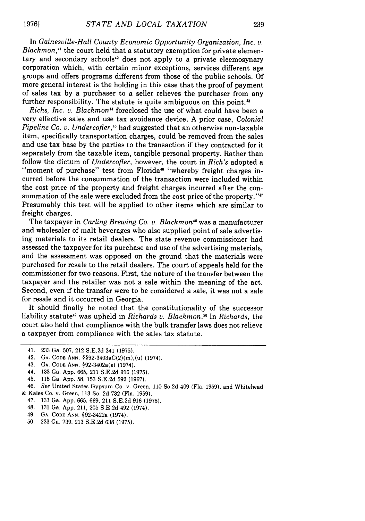In *Gainesville-Hall County Economic Opportunity Organization, Inc. v. Blackmon,4* the court held that a statutory exemption for private elementary and secondary schools<sup>42</sup> does not apply to a private eleemosynary corporation which, with certain minor exceptions, services different age groups and offers programs different from those of the public schools. Of more general interest is the holding in this case that the proof of payment of sales tax by a purchaser to a seller relieves the purchaser from any further responsibility. The statute is quite ambiguous on this point.<sup>43</sup>

*Richs, Inc. v. Blackmon"* foreclosed the use of what could have been a very effective sales and use tax avoidance device. A prior case, *Colonial Pipeline Co. v. Undercofter*,<sup>45</sup> had suggested that an otherwise non-taxable item, specifically transportation charges, could be removed from the sales and use tax base by the parties to the transaction if they contracted for it separately from the taxable item, tangible personal property. Rather than follow the dictum of *Undercofler,* however, the court in *Rich's* adopted a "moment of purchase" test from Florida<sup>46</sup> "whereby freight charges incurred before the consummation of the transaction were included within the cost price of the property and freight charges incurred after the consummation of the sale were excluded from the cost price of the property." Presumably this test will be applied to other items which are similar to freight charges.

The taxpayer in *Carling Brewing Co. v. Blackmon"5* was a manufacturer and wholesaler of malt beverages who also supplied point of sale advertising materials to its retail dealers. The state revenue commissioner had assessed the taxpayer for its purchase and use of the advertising materials, and the assessment was opposed on the ground that the materials were purchased for resale to the retail dealers. The court of appeals held for the commissioner for two reasons. First, the nature of the transfer between the taxpayer and the retailer was not a sale within the meaning of the act. Second, even if the transfer were to be considered a sale, it was not a sale for resale and it occurred in Georgia.

It should finally be noted that the constitutionality of the successor liability statute<sup>49</sup> was upheld in *Richards v. Blackmon*.<sup>50</sup> In *Richards*, the court also held that compliance with the bulk transfer laws does not relieve a taxpayer from compliance with the sales tax statute.

49. GA. **CODE ANN.** §92-3422a (1974).

**19761**

<sup>41. 233</sup> Ga. 507, 212 S.E.2d 341 (1975).

<sup>42.</sup> **GA. CODE ANN.** §§92-3403aC(2)(m),(u) (1974).

<sup>43.</sup> **GA. CODE ANN.** §92-3402a(e) (1974).

<sup>44. 133</sup> Ga. App. 665, 211 S.E.2d 916 (1975).

<sup>45.</sup> 115 Ga. App. 58, 153 S.E.2d 592 (1967).

<sup>46.</sup> See United States Gypsum Co. v. Green, 110 So.2d 409 (Fla. 1959), and Whitehead

<sup>&</sup>amp; Kales Co. v. Green, 113 So. **2d** 732 (Fla. 1959).

<sup>47. 133</sup> Ga. App. 665, 669, 211 S.E.2d 916 (1975).

<sup>48. 131</sup> Ga. App. 211, 205 S.E.2d 492 (1974).

**<sup>50.</sup>** 233 Ga. 739, 213 S.E.2d 638 (1975).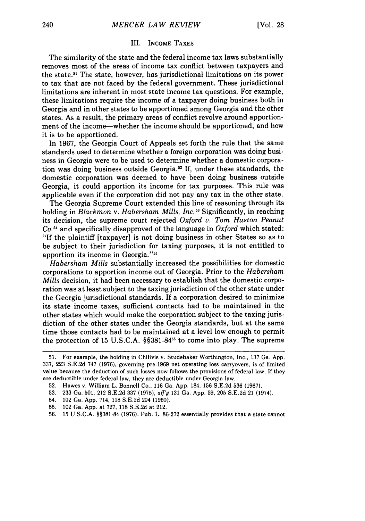#### III. **INCOME TAXES**

The similarity of the state and the federal income tax laws substantially removes most of the areas of income tax conflict between taxpayers and the state.<sup>51</sup> The state, however, has jurisdictional limitations on its power to tax that are not faced by the federal government. These jurisdictional limitations are inherent in most state income tax questions. For example, these limitations require the income of a taxpayer doing business both in Georgia and in other states to be apportioned among Georgia and the other states. As a result, the primary areas of conflict revolve around apportionment of the income-whether the income should be apportioned, and how it is to be apportioned.

In 1967, the Georgia Court of Appeals set forth the rule that the same standards used to determine whether a foreign corporation was doing business in Georgia were to be used to determine whether a domestic corporation was doing business outside Georgia.52 If, under these standards, the domestic corporation was deemed to have been doing business outside Georgia, it could apportion its income for tax purposes. This rule was applicable even if the corporation did not pay any tax in the other state.

The Georgia Supreme Court extended this line of reasoning through its holding in *Blackmon v. Habersham Mills, Inc.*<sup>53</sup> Significantly, in reaching its decision, the supreme court rejected *Oxford v. Tom Huston Peanut*  $Co<sup>54</sup>$  and specifically disapproved of the language in  $Oxford$  which stated: "If the plaintiff [taxpayer] is not doing business in other States so as to be subject to their jurisdiction for taxing purposes, it is not entitled to apportion its income in Georgia."<sup>55</sup>

*Habersham Mills* substantially increased the possibilities for domestic corporations to apportion income out of Georgia. Prior to the *Habersham Mills* decision, it had been necessary to establish that the domestic corporation was at least subject to the taxing jurisdiction of the other state under the Georgia jurisdictional standards. If a corporation desired to minimize its state income taxes, sufficient contacts had to be maintained in the other states which would make the corporation subject to the taxing jurisdiction of the other states under the Georgia standards, but at the same time those contacts had to be maintained at a level low enough to permit the protection of 15 U.S.C.A.  $\S$ §381-84<sup>56</sup> to come into play. The supreme

- 54. 102 Ga. App. 714, 118 S.E.2d 204 (1960).
- 55. 102 Ga. App. at 727, 118 S.E.2d at 212.
- 56. 15 U.S.C.A. §§381-84 (1976). Pub. L. 86-272 essentially provides that a state cannot

<sup>51.</sup> For example, the holding in Chilivis v. Studebaker Worthington, Inc., 137 Ga. App. 337, 223 S.E.2d 747 (1976), governing pre-1969 net operating loss carryovers, is of limited value because the deduction of such losses now follows the provisions of federal law. If they are deductible under federal law, they are deductible under Georgia law.

<sup>52.</sup> Hawes v. William L. Bonnell Co., 116 Ga. App. 184, 156 S.E.2d 536 (1967).

<sup>53. 233</sup> Ga. 501, 212 S.E.2d 337 (1975), aff'g 131 Ga. App. 59, 205 S.E.2d 21 (1974).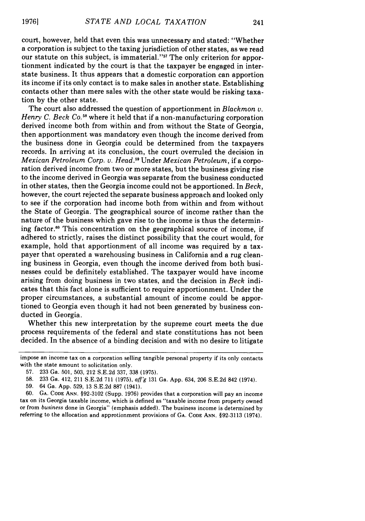court, however, held that even this was unnecessary and stated: "Whether a corporation is subject to the taxing jurisdiction of other states, as we read our statute on this subject, is immaterial."<sup>57</sup> The only criterion for apportionment indicated by the court is that the taxpayer be engaged in interstate business. It thus appears that a domestic corporation can apportion its income if its only contact is to make sales in another state. Establishing contacts other than mere sales with the other state would be risking taxation by the other state.

The court also addressed the question of apportionment in *Blackmon v. Henry C. Beck Co.*<sup>58</sup> where it held that if a non-manufacturing corporation derived income both from within and from without the State of Georgia, then apportionment was mandatory even though the income derived from the business done in Georgia could be determined from the taxpayers records. In arriving at its conclusion, the court overruled the decision in *Mexican Petroleum Corp. v. Head.9* Under *Mexican Petroleum,* if a corporation derived income from two or more states, but the business giving rise to the income derived in Georgia was separate from the business conducted in other states, then the Georgia income could not be apportioned. In *Beck,* however, the court rejected the separate business approach and looked only to see if the corporation had income both from within and from without the State of Georgia. The geographical source of income rather than the nature of the business which gave rise to the income is thus the determining factor.<sup>60</sup> This concentration on the geographical source of income, if adhered to strictly, raises the distinct possibility that the court would, for example, hold that apportionment of all income was required by a taxpayer that operated a warehousing business in California and a rug cleaning business in Georgia, even though the income derived from both businesses could be definitely established. The taxpayer would have income arising from doing business in two states, and the decision in *Beck* indicates that this fact alone is sufficient to require apportionment. Under the proper circumstances, a substantial amount of income could be apportioned to Georgia even though it had not been generated by business conducted in Georgia.

Whether this new interpretation by the supreme court meets the due process requirements of the federal and state constitutions has not been decided. In the absence of a binding decision and with no desire to litigate

60. **GA. CODE ANN.** §92-3102 (Supp. 1976) provides that a corporation will pay an income tax on its Georgia taxable income, which is defined as "taxable income from property owned or from *business* done in Georgia" (emphasis added). The business income is determined by referring to the allocation and approtionment provisions of GA. **CODE ANN. §92-3113** (1974).

impose an income tax on a corporation selling tangible personal property if its only contacts with the state amount to solicitation only.

<sup>57. 233</sup> Ga. 501, 503, 212 S.E.2d 337, 338 (1975).

<sup>58. 233</sup> Ga. 412, 211 S.E.2d 711 (1975), *affg* 131 Ga. App. 634, 206 S.E.2d 842 (1974).

<sup>59. 64</sup> Ga. App. 529, 13 S.E.2d 887 (1941).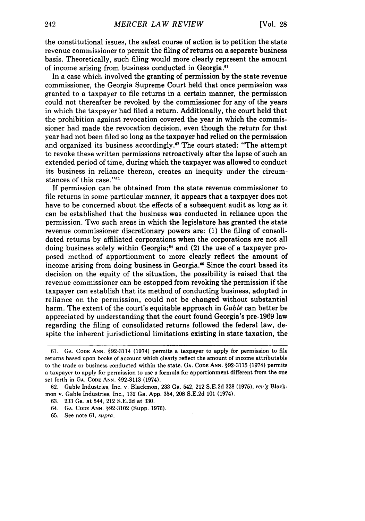the constitutional issues, the safest course of action is to petition the state revenue commissioner to permit the filing of returns on a separate business basis. Theoretically, such filing would more clearly represent the amount of income arising from business conducted in Georgia."

In a case which involved the granting of permission by the state revenue commissioner, the Georgia Supreme Court held that once permission was granted to a taxpayer to file returns in a certain manner, the permission could not thereafter be revoked by the commissioner for any of the years in which the taxpayer had filed a return. Additionally, the court held that the prohibition against revocation covered the year in which the commissioner had made the revocation decision, even though the return for that year had not been filed so long as the taxpayer had relied on the permission and organized its business accordingly.<sup>62</sup> The court stated: "The attempt to revoke these written permissions retroactively after the lapse of such an extended period of time, during which the taxpayer was allowed to conduct its business in reliance thereon, creates an inequity under the circumstances of this case."<sup>63</sup>

If permission can be obtained from the state revenue commissioner to file returns in some particular manner, it appears that a taxpayer does not have to be concerned about the effects of a subsequent audit as long as it can be established that the business was conducted in reliance upon the permission. Two such areas in which the legislature has granted the state revenue commissioner discretionary powers are: (1) the filing of consolidated returns by affiliated corporations when the corporations are not all doing business solely within Georgia;<sup>64</sup> and (2) the use of a taxpayer proposed method of apportionment to more clearly reflect the amount of income arising from doing business in Georgia.<sup>65</sup> Since the court based its decision on the equity of the situation, the possibility is raised that the revenue commissioner can be estopped from revoking the permission if the taxpayer can establish that its method of conducting business, adopted in reliance on the permission, could not be changed without substantial harm. The extent of the court's equitable approach in *Gable* can better be appreciated by understanding that the court found Georgia's pre-1969 law regarding the filing of consolidated returns followed the federal law, despite the inherent jurisdictional limitations existing in state taxation, the

- **63.** 233 Ga. at 544, 212 **S.E.2d** at **330.**
- 64. **GA. CODE ANN. §92-3102** (Supp. **1976).**
- 65. See note 61, supra.

<sup>61.</sup> **GA. CODE ANN.** §92-3114 (1974) permits a taxpayer to apply for permission to file returns based upon books of account which clearly reflect the amount of income attributable to the trade or business conducted within the state. **GA. CODE ANN. §92-3115** (1974) permits a taxpayer to apply for permission to use a formula for apportionment different from the one set forth in **GA. CODE ANN. §92-3113** (1974).

**<sup>62.</sup>** Gable Industries, Inc. v. Blackmon, **233** Ga. 542, 212 **S.E.2d 328 (1975),** *rev'g* Black**mon** v. Gable Industries, Inc., **132** Ga. **App.** 354, **208 S.E.2d 101** (1974).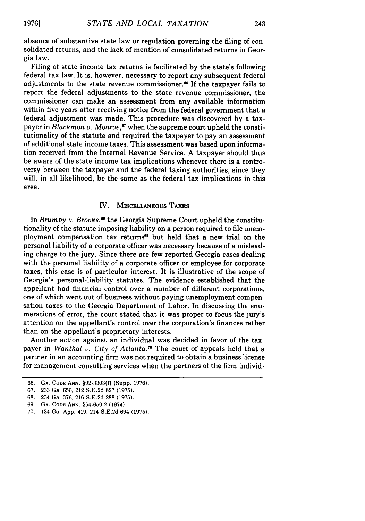absence of substantive state law or regulation governing the filing of consolidated returns, and the lack of mention of consolidated returns in Georgia law.

Filing of state income tax returns is facilitated by the state's following federal tax law. It is, however, necessary to report any subsequent federal adjustments to the state revenue commissioner." If the taxpayer fails to report the federal adjustments to the state revenue commissioner, the commissioner can make an assessment from any available information within five years after receiving notice from the federal government that a federal adjustment was made. This procedure was discovered by a taxpayer in *Blackmon v. Monroe*,<sup>67</sup> when the supreme court upheld the constitutionality of the statute and required the taxpayer to pay an assessment of additional state income taxes. This assessment was based upon information received from the Internal Revenue Service. A taxpayer should thus be aware of the state-income-tax implications whenever there is a controversy between the taxpayer and the federal taxing authorities, since they will, in all likelihood, be the same as the federal tax implications in this area.

#### IV. MISCELLANEOus **TAXES**

In *Brumby v. Brooks*,<sup>68</sup> the Georgia Supreme Court upheld the constitutionality of the statute imposing liability on a person required to file unemployment compensation tax returns<sup>89</sup> but held that a new trial on the personal liability of a corporate officer was necessary because of a misleading charge to the jury. Since there are few reported Georgia cases dealing with the personal liability of a corporate officer or employee for corporate taxes, this case is of particular interest. It is illustrative of the scope of Georgia's personal-liability statutes. The evidence established that the appellant had financial control over a number of different corporations, one of which went out of business without paying unemployment compensation taxes to the Georgia Department of Labor. In discussing the enumerations of error, the court stated that it was proper to focus the jury's attention on the appellant's control over the corporation's finances rather than on the appellant's proprietary interests.

Another action against an individual was decided in favor of the taxpayer in *Wanthal v. City of Atlanta*.<sup>70</sup> The court of appeals held that a partner in an accounting firm was not required to obtain a business license for management consulting services when the partners of the firm individ-

69. **GA. CODE ANN.** §54-650.2 (1974).

<sup>66.</sup> **GA.** CODE **ANN.** §92-3303(f) (Supp. 1976).

<sup>67. 233</sup> Ga. 656, 212 S.E.2d 827 (1975).

<sup>68. 234</sup> Ga. 376, 216 S.E.2d 288 (1975).

<sup>70.</sup> 134 Ga. App. 419, 214 S.E.2d 694 **(1975).**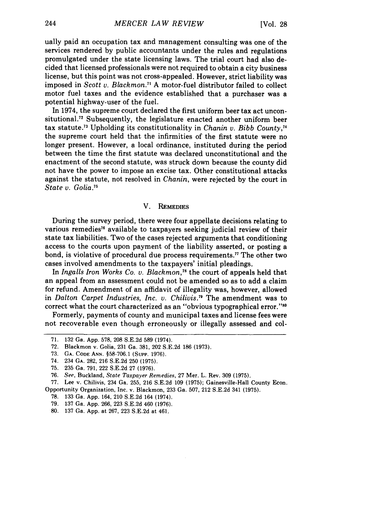ually paid an occupation tax and management consulting was one of the services rendered by public accountants under the rules and regulations promulgated under the state licensing laws. The trial court had also decided that licensed professionals were not required to obtain a city business license, but this point was not cross-appealed. However, strict liability was imposed in *Scott v. Blackmon.71* A motor-fuel distributor failed to collect motor fuel taxes and the evidence established that a purchaser was a potential highway-user of the fuel.

In 1974, the supreme court declared the first uniform beer tax act unconsitutional.<sup>72</sup> Subsequently, the legislature enacted another uniform beer tax statute.7 3 Upholding its constitutionality in *Chanin v. Bibb County, <sup>7</sup>* the supreme court held that the infirmities of the first statute were no longer present. However, a local ordinance, instituted during the period between the time the first statute was declared unconstitutional and the enactment of the second statute, was struck down because the county did not have the power to impose an excise tax. Other constitutional attacks against the statute, not resolved in *Chanin,* were rejected by the court in *State v. Golia.7 1*

#### V. **REMEDIES**

During the survey period, there were four appellate decisions relating to various remedies<sup>76</sup> available to taxpayers seeking judicial review of their state tax liabilities. Two of the cases rejected arguments that conditioning access to the courts upon payment of the liability asserted, or posting a bond, is violative of procedural due process requirements.<sup>77</sup> The other two cases involved amendments to the taxpayers' initial pleadings.

In *Ingalls Iron Works Co. v. Blackmon,"* the court of appeals held that an appeal from an assessment could not be amended so as to add a claim for refund. Amendment of an affidavit of illegality was, however, allowed in *Dalton Carpet Industries, Inc. v. Chilivis.7* The amendment was to correct what the court characterized as an "obvious typographical error."<sup>80</sup>

Formerly, payments of county and municipal taxes and license fees were not recoverable even though erroneously or illegally assessed and col-

- 79. 137 Ga. App. 266, 223 S.E.2d 460 (1976).
- 80. 137 Ga. App. at 267, 223 S.E.2d at 461.

<sup>71. 132</sup> Ga. App. 578, 208 S.E.2d 589 (1974).

<sup>72.</sup> Blackmon v. Golia, 231 Ga. 381, 202 S.E.2d 186 (1973).

<sup>73.</sup> **GA. CODE** ANN. §58-706.1 (Supp. 1976).

<sup>74. 234</sup> **GA.** 282, 216 S.E.2d 250 (1975).

<sup>75. 235</sup> Ga. 791, 222 S.E.2d 27 (1976).

<sup>76.</sup> *See,* Buckland, *State Taxpayer Remedies,* 27 Mer. L. Rev. 309 (1975).

<sup>77.</sup> Lee v. Chilivis, 234 Ga. 255, 216 S.E.2d 109 (1975); Gainesville-Hall County Econ. Opportunity Organization, Inc. v. Blackmon, 233 Ga. 507, 212 S.E.2d 341 (1975).

<sup>78.</sup> 133 Ga. App. 164, 210 S.E.2d 164 (1974).